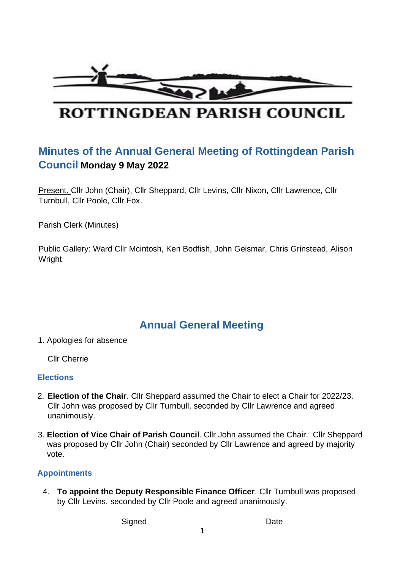

# ROTTINGDEAN PARISH COUNCIL

## **Minutes of the Annual General Meeting of Rottingdean Parish Council Monday 9 May 2022**

Present. Cllr John (Chair), Cllr Sheppard, Cllr Levins, Cllr Nixon, Cllr Lawrence, Cllr Turnbull, Cllr Poole, Cllr Fox.

Parish Clerk (Minutes)

Public Gallery: Ward Cllr Mcintosh, Ken Bodfish, John Geismar, Chris Grinstead, Alison **Wright** 

## **Annual General Meeting**

1. Apologies for absence

Cllr Cherrie

#### **Elections**

- 2. **Election of the Chair**. Cllr Sheppard assumed the Chair to elect a Chair for 2022/23. Cllr John was proposed by Cllr Turnbull, seconded by Cllr Lawrence and agreed unanimously.
- 3. **Election of Vice Chair of Parish Counci**l. Cllr John assumed the Chair. Cllr Sheppard was proposed by Cllr John (Chair) seconded by Cllr Lawrence and agreed by majority vote.

#### **Appointments**

4. **To appoint the Deputy Responsible Finance Officer**. Cllr Turnbull was proposed by Cllr Levins, seconded by Cllr Poole and agreed unanimously.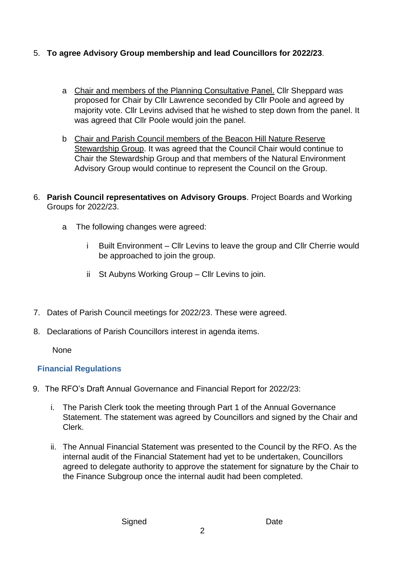### 5. **To agree Advisory Group membership and lead Councillors for 2022/23**.

- a Chair and members of the Planning Consultative Panel. Cllr Sheppard was proposed for Chair by Cllr Lawrence seconded by Cllr Poole and agreed by majority vote. Cllr Levins advised that he wished to step down from the panel. It was agreed that Cllr Poole would join the panel.
- b Chair and Parish Council members of the Beacon Hill Nature Reserve Stewardship Group. It was agreed that the Council Chair would continue to Chair the Stewardship Group and that members of the Natural Environment Advisory Group would continue to represent the Council on the Group.
- 6. **Parish Council representatives on Advisory Groups**. Project Boards and Working Groups for 2022/23.
	- a The following changes were agreed:
		- i Built Environment Cllr Levins to leave the group and Cllr Cherrie would be approached to join the group.
		- ii St Aubyns Working Group Cllr Levins to join.
- 7. Dates of Parish Council meetings for 2022/23. These were agreed.
- 8. Declarations of Parish Councillors interest in agenda items.

None

#### **Financial Regulations**

- 9. The RFO's Draft Annual Governance and Financial Report for 2022/23:
	- i. The Parish Clerk took the meeting through Part 1 of the Annual Governance Statement. The statement was agreed by Councillors and signed by the Chair and Clerk.
	- ii. The Annual Financial Statement was presented to the Council by the RFO. As the internal audit of the Financial Statement had yet to be undertaken, Councillors agreed to delegate authority to approve the statement for signature by the Chair to the Finance Subgroup once the internal audit had been completed.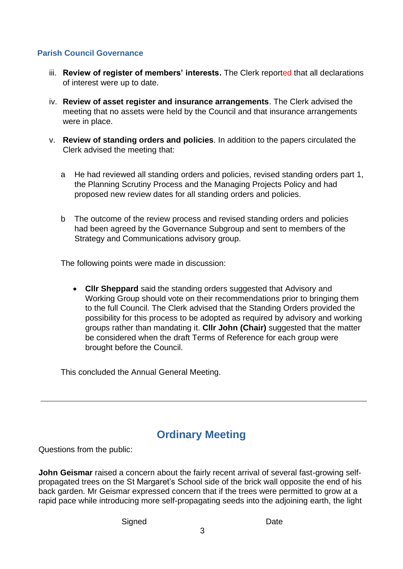#### **Parish Council Governance**

- iii. **Review of register of members' interests.** The Clerk reported that all declarations of interest were up to date.
- iv. **Review of asset register and insurance arrangements**. The Clerk advised the meeting that no assets were held by the Council and that insurance arrangements were in place.
- v. **Review of standing orders and policies**. In addition to the papers circulated the Clerk advised the meeting that:
	- a He had reviewed all standing orders and policies, revised standing orders part 1, the Planning Scrutiny Process and the Managing Projects Policy and had proposed new review dates for all standing orders and policies.
	- b The outcome of the review process and revised standing orders and policies had been agreed by the Governance Subgroup and sent to members of the Strategy and Communications advisory group.

The following points were made in discussion:

• **Cllr Sheppard** said the standing orders suggested that Advisory and Working Group should vote on their recommendations prior to bringing them to the full Council. The Clerk advised that the Standing Orders provided the possibility for this process to be adopted as required by advisory and working groups rather than mandating it. **Cllr John (Chair)** suggested that the matter be considered when the draft Terms of Reference for each group were brought before the Council.

This concluded the Annual General Meeting.

## **Ordinary Meeting**

Questions from the public:

**John Geismar** raised a concern about the fairly recent arrival of several fast-growing selfpropagated trees on the St Margaret's School side of the brick wall opposite the end of his back garden. Mr Geismar expressed concern that if the trees were permitted to grow at a rapid pace while introducing more self-propagating seeds into the adjoining earth, the light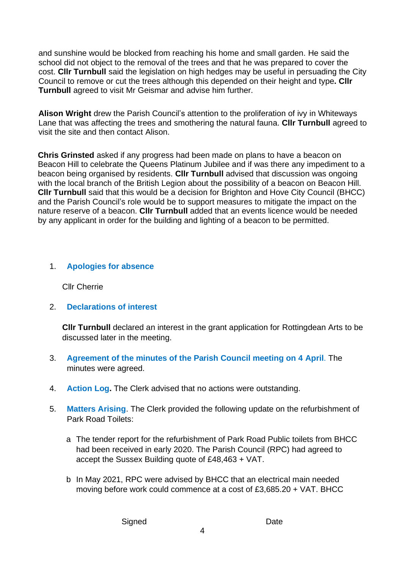and sunshine would be blocked from reaching his home and small garden. He said the school did not object to the removal of the trees and that he was prepared to cover the cost. **Cllr Turnbull** said the legislation on high hedges may be useful in persuading the City Council to remove or cut the trees although this depended on their height and type**. Cllr Turnbull** agreed to visit Mr Geismar and advise him further.

**Alison Wright** drew the Parish Council's attention to the proliferation of ivy in Whiteways Lane that was affecting the trees and smothering the natural fauna. **Cllr Turnbull** agreed to visit the site and then contact Alison.

**Chris Grinsted** asked if any progress had been made on plans to have a beacon on Beacon Hill to celebrate the Queens Platinum Jubilee and if was there any impediment to a beacon being organised by residents. **Cllr Turnbull** advised that discussion was ongoing with the local branch of the British Legion about the possibility of a beacon on Beacon Hill. **Cllr Turnbull** said that this would be a decision for Brighton and Hove City Council (BHCC) and the Parish Council's role would be to support measures to mitigate the impact on the nature reserve of a beacon. **Cllr Turnbull** added that an events licence would be needed by any applicant in order for the building and lighting of a beacon to be permitted.

#### 1. **Apologies for absence**

Cllr Cherrie

2. **Declarations of interest** 

**Cllr Turnbull** declared an interest in the grant application for Rottingdean Arts to be discussed later in the meeting.

- 3. **Agreement of the minutes of the Parish Council meeting on 4 April**. The minutes were agreed.
- 4. **Action Log.** The Clerk advised that no actions were outstanding.
- 5. **Matters Arising**. The Clerk provided the following update on the refurbishment of Park Road Toilets:
	- a The tender report for the refurbishment of Park Road Public toilets from BHCC had been received in early 2020. The Parish Council (RPC) had agreed to accept the Sussex Building quote of £48,463 + VAT.
	- b In May 2021, RPC were advised by BHCC that an electrical main needed moving before work could commence at a cost of £3,685.20 + VAT. BHCC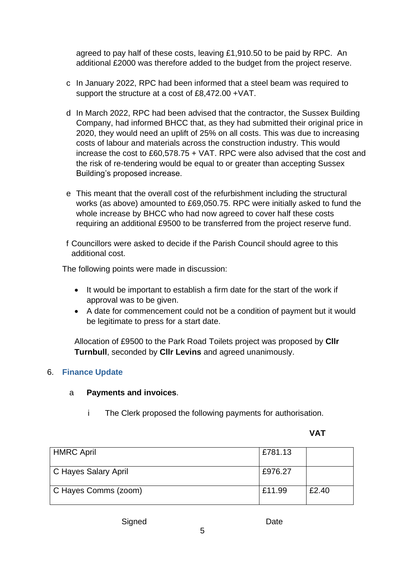agreed to pay half of these costs, leaving £1,910.50 to be paid by RPC. An additional £2000 was therefore added to the budget from the project reserve.

- c In January 2022, RPC had been informed that a steel beam was required to support the structure at a cost of £8,472.00 +VAT.
- d In March 2022, RPC had been advised that the contractor, the Sussex Building Company, had informed BHCC that, as they had submitted their original price in 2020, they would need an uplift of 25% on all costs. This was due to increasing costs of labour and materials across the construction industry. This would increase the cost to £60,578.75 + VAT. RPC were also advised that the cost and the risk of re-tendering would be equal to or greater than accepting Sussex Building's proposed increase.
- e This meant that the overall cost of the refurbishment including the structural works (as above) amounted to £69,050.75. RPC were initially asked to fund the whole increase by BHCC who had now agreed to cover half these costs requiring an additional £9500 to be transferred from the project reserve fund.

f Councillors were asked to decide if the Parish Council should agree to this additional cost.

The following points were made in discussion:

- It would be important to establish a firm date for the start of the work if approval was to be given.
- A date for commencement could not be a condition of payment but it would be legitimate to press for a start date.

Allocation of £9500 to the Park Road Toilets project was proposed by **Cllr Turnbull**, seconded by **Cllr Levins** and agreed unanimously.

#### 6. **Finance Update**

#### a **Payments and invoices**.

i The Clerk proposed the following payments for authorisation.

#### **VAT**

| <b>HMRC April</b>    | £781.13 |       |
|----------------------|---------|-------|
| C Hayes Salary April | £976.27 |       |
| C Hayes Comms (zoom) | £11.99  | £2.40 |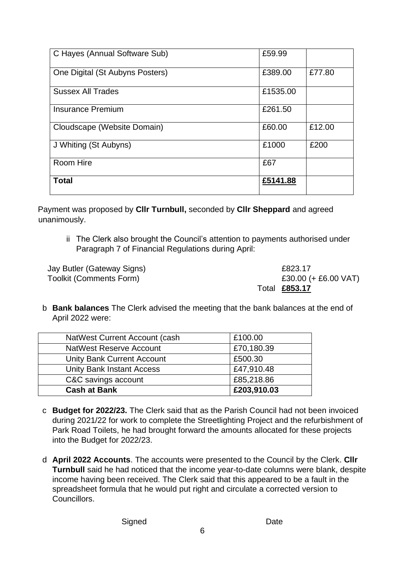| C Hayes (Annual Software Sub)   | £59.99   |        |
|---------------------------------|----------|--------|
| One Digital (St Aubyns Posters) | £389.00  | £77.80 |
| <b>Sussex All Trades</b>        | £1535.00 |        |
| <b>Insurance Premium</b>        | £261.50  |        |
| Cloudscape (Website Domain)     | £60.00   | £12.00 |
| J Whiting (St Aubyns)           | £1000    | £200   |
| Room Hire                       | £67      |        |
| <b>Total</b>                    | £5141.88 |        |

Payment was proposed by **Cllr Turnbull,** seconded by **Cllr Sheppard** and agreed unanimously.

ii The Clerk also brought the Council's attention to payments authorised under Paragraph 7 of Financial Regulations during April:

Jay Butler (Gateway Signs) £823.17 Toolkit (Comments Form)  $£30.00 (+ £6.00 VAT)$ Total **£853.17**

b **Bank balances** The Clerk advised the meeting that the bank balances at the end of April 2022 were:

| NatWest Current Account (cash     | £100.00     |
|-----------------------------------|-------------|
| <b>NatWest Reserve Account</b>    | £70,180.39  |
| <b>Unity Bank Current Account</b> | £500.30     |
| <b>Unity Bank Instant Access</b>  | £47,910.48  |
| C&C savings account               | £85,218.86  |
| <b>Cash at Bank</b>               | £203,910.03 |

- c **Budget for 2022/23.** The Clerk said that as the Parish Council had not been invoiced during 2021/22 for work to complete the Streetlighting Project and the refurbishment of Park Road Toilets, he had brought forward the amounts allocated for these projects into the Budget for 2022/23.
- d **April 2022 Accounts**. The accounts were presented to the Council by the Clerk. **Cllr Turnbull** said he had noticed that the income year-to-date columns were blank, despite income having been received. The Clerk said that this appeared to be a fault in the spreadsheet formula that he would put right and circulate a corrected version to Councillors.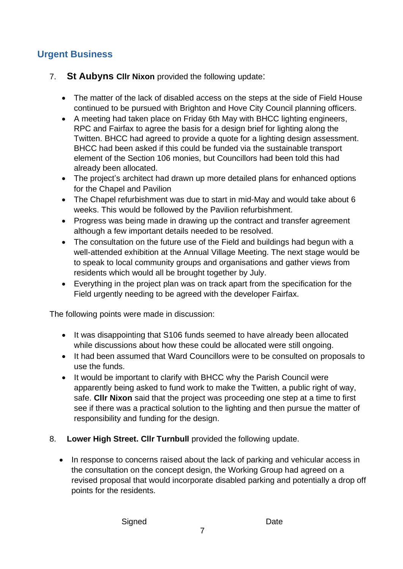## **Urgent Business**

- 7. **St Aubyns Cllr Nixon** provided the following update:
	- The matter of the lack of disabled access on the steps at the side of Field House continued to be pursued with Brighton and Hove City Council planning officers.
	- A meeting had taken place on Friday 6th May with BHCC lighting engineers, RPC and Fairfax to agree the basis for a design brief for lighting along the Twitten. BHCC had agreed to provide a quote for a lighting design assessment. BHCC had been asked if this could be funded via the sustainable transport element of the Section 106 monies, but Councillors had been told this had already been allocated.
	- The project's architect had drawn up more detailed plans for enhanced options for the Chapel and Pavilion
	- The Chapel refurbishment was due to start in mid-May and would take about 6 weeks. This would be followed by the Pavilion refurbishment.
	- Progress was being made in drawing up the contract and transfer agreement although a few important details needed to be resolved.
	- The consultation on the future use of the Field and buildings had begun with a well-attended exhibition at the Annual Village Meeting. The next stage would be to speak to local community groups and organisations and gather views from residents which would all be brought together by July.
	- Everything in the project plan was on track apart from the specification for the Field urgently needing to be agreed with the developer Fairfax.

The following points were made in discussion:

- It was disappointing that S106 funds seemed to have already been allocated while discussions about how these could be allocated were still ongoing.
- It had been assumed that Ward Councillors were to be consulted on proposals to use the funds.
- It would be important to clarify with BHCC why the Parish Council were apparently being asked to fund work to make the Twitten, a public right of way, safe. **Cllr Nixon** said that the project was proceeding one step at a time to first see if there was a practical solution to the lighting and then pursue the matter of responsibility and funding for the design.
- 8. **Lower High Street. Cllr Turnbull** provided the following update.
	- In response to concerns raised about the lack of parking and vehicular access in the consultation on the concept design, the Working Group had agreed on a revised proposal that would incorporate disabled parking and potentially a drop off points for the residents.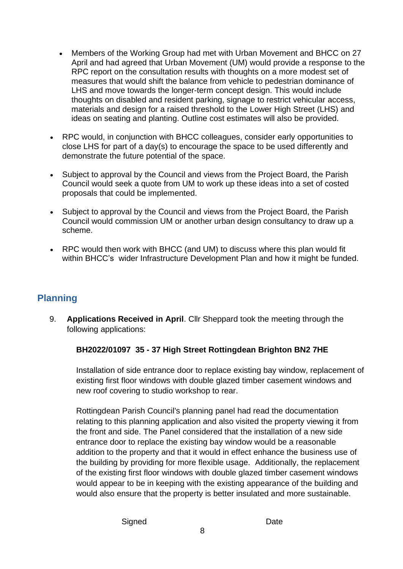- Members of the Working Group had met with Urban Movement and BHCC on 27 April and had agreed that Urban Movement (UM) would provide a response to the RPC report on the consultation results with thoughts on a more modest set of measures that would shift the balance from vehicle to pedestrian dominance of LHS and move towards the longer-term concept design. This would include thoughts on disabled and resident parking, signage to restrict vehicular access, materials and design for a raised threshold to the Lower High Street (LHS) and ideas on seating and planting. Outline cost estimates will also be provided.
- RPC would, in conjunction with BHCC colleagues, consider early opportunities to close LHS for part of a day(s) to encourage the space to be used differently and demonstrate the future potential of the space.
- Subject to approval by the Council and views from the Project Board, the Parish Council would seek a quote from UM to work up these ideas into a set of costed proposals that could be implemented.
- Subject to approval by the Council and views from the Project Board, the Parish Council would commission UM or another urban design consultancy to draw up a scheme.
- RPC would then work with BHCC (and UM) to discuss where this plan would fit within BHCC's wider Infrastructure Development Plan and how it might be funded.

## **Planning**

9. **Applications Received in April**. Cllr Sheppard took the meeting through the following applications:

#### **BH2022/01097 35 - 37 High Street Rottingdean Brighton BN2 7HE**

Installation of side entrance door to replace existing bay window, replacement of existing first floor windows with double glazed timber casement windows and new roof covering to studio workshop to rear.

Rottingdean Parish Council's planning panel had read the documentation relating to this planning application and also visited the property viewing it from the front and side. The Panel considered that the installation of a new side entrance door to replace the existing bay window would be a reasonable addition to the property and that it would in effect enhance the business use of the building by providing for more flexible usage. Additionally, the replacement of the existing first floor windows with double glazed timber casement windows would appear to be in keeping with the existing appearance of the building and would also ensure that the property is better insulated and more sustainable.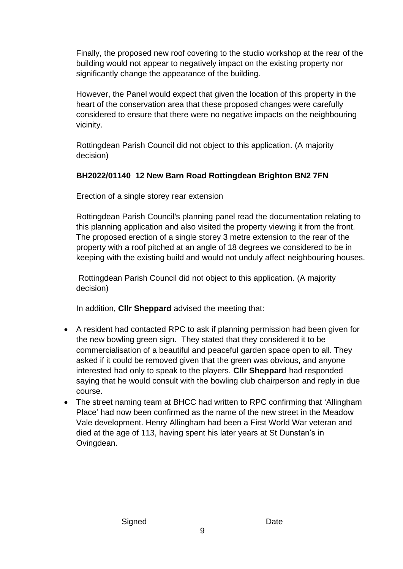Finally, the proposed new roof covering to the studio workshop at the rear of the building would not appear to negatively impact on the existing property nor significantly change the appearance of the building.

However, the Panel would expect that given the location of this property in the heart of the conservation area that these proposed changes were carefully considered to ensure that there were no negative impacts on the neighbouring vicinity.

Rottingdean Parish Council did not object to this application. (A majority decision)

### **BH2022/01140 12 New Barn Road Rottingdean Brighton BN2 7FN**

Erection of a single storey rear extension

Rottingdean Parish Council's planning panel read the documentation relating to this planning application and also visited the property viewing it from the front. The proposed erection of a single storey 3 metre extension to the rear of the property with a roof pitched at an angle of 18 degrees we considered to be in keeping with the existing build and would not unduly affect neighbouring houses.

Rottingdean Parish Council did not object to this application. (A majority decision)

In addition, **Cllr Sheppard** advised the meeting that:

- A resident had contacted RPC to ask if planning permission had been given for the new bowling green sign. They stated that they considered it to be commercialisation of a beautiful and peaceful garden space open to all. They asked if it could be removed given that the green was obvious, and anyone interested had only to speak to the players. **Cllr Sheppard** had responded saying that he would consult with the bowling club chairperson and reply in due course.
- The street naming team at BHCC had written to RPC confirming that 'Allingham Place' had now been confirmed as the name of the new street in the Meadow Vale development. Henry Allingham had been a First World War veteran and died at the age of 113, having spent his later years at St Dunstan's in Ovingdean.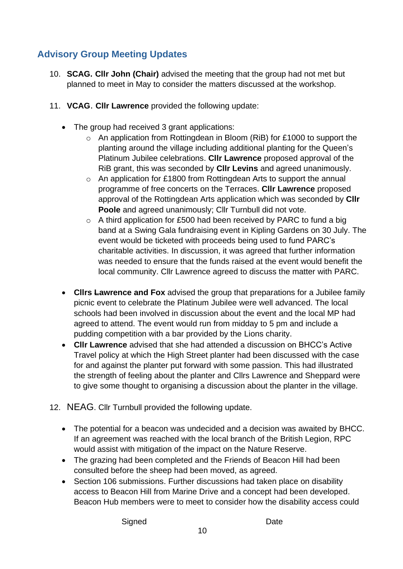## **Advisory Group Meeting Updates**

- 10. **SCAG. Cllr John (Chair)** advised the meeting that the group had not met but planned to meet in May to consider the matters discussed at the workshop.
- 11. **VCAG**. **Cllr Lawrence** provided the following update:
	- The group had received 3 grant applications:
		- o An application from Rottingdean in Bloom (RiB) for £1000 to support the planting around the village including additional planting for the Queen's Platinum Jubilee celebrations. **Cllr Lawrence** proposed approval of the RiB grant, this was seconded by **Cllr Levins** and agreed unanimously.
		- o An application for £1800 from Rottingdean Arts to support the annual programme of free concerts on the Terraces. **Cllr Lawrence** proposed approval of the Rottingdean Arts application which was seconded by **Cllr Poole** and agreed unanimously; Cllr Turnbull did not vote.
		- o A third application for £500 had been received by PARC to fund a big band at a Swing Gala fundraising event in Kipling Gardens on 30 July. The event would be ticketed with proceeds being used to fund PARC's charitable activities. In discussion, it was agreed that further information was needed to ensure that the funds raised at the event would benefit the local community. Cllr Lawrence agreed to discuss the matter with PARC.
	- **Cllrs Lawrence and Fox** advised the group that preparations for a Jubilee family picnic event to celebrate the Platinum Jubilee were well advanced. The local schools had been involved in discussion about the event and the local MP had agreed to attend. The event would run from midday to 5 pm and include a pudding competition with a bar provided by the Lions charity.
	- **Cllr Lawrence** advised that she had attended a discussion on BHCC's Active Travel policy at which the High Street planter had been discussed with the case for and against the planter put forward with some passion. This had illustrated the strength of feeling about the planter and Cllrs Lawrence and Sheppard were to give some thought to organising a discussion about the planter in the village.
- 12. NEAG. Cllr Turnbull provided the following update.
	- The potential for a beacon was undecided and a decision was awaited by BHCC. If an agreement was reached with the local branch of the British Legion, RPC would assist with mitigation of the impact on the Nature Reserve.
	- The grazing had been completed and the Friends of Beacon Hill had been consulted before the sheep had been moved, as agreed.
	- Section 106 submissions. Further discussions had taken place on disability access to Beacon Hill from Marine Drive and a concept had been developed. Beacon Hub members were to meet to consider how the disability access could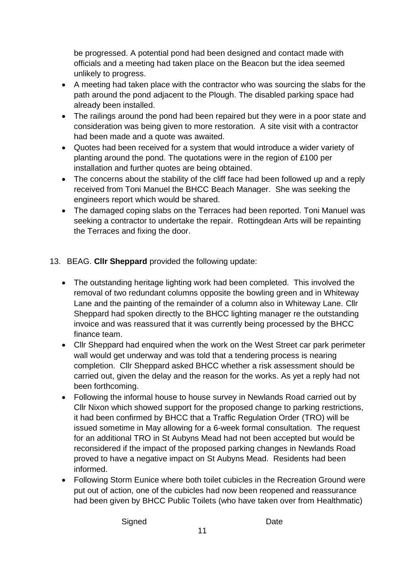be progressed. A potential pond had been designed and contact made with officials and a meeting had taken place on the Beacon but the idea seemed unlikely to progress.

- A meeting had taken place with the contractor who was sourcing the slabs for the path around the pond adjacent to the Plough. The disabled parking space had already been installed.
- The railings around the pond had been repaired but they were in a poor state and consideration was being given to more restoration. A site visit with a contractor had been made and a quote was awaited.
- Quotes had been received for a system that would introduce a wider variety of planting around the pond. The quotations were in the region of £100 per installation and further quotes are being obtained.
- The concerns about the stability of the cliff face had been followed up and a reply received from Toni Manuel the BHCC Beach Manager. She was seeking the engineers report which would be shared.
- The damaged coping slabs on the Terraces had been reported. Toni Manuel was seeking a contractor to undertake the repair. Rottingdean Arts will be repainting the Terraces and fixing the door.

### 13. BEAG. **Cllr Sheppard** provided the following update:

- The outstanding heritage lighting work had been completed. This involved the removal of two redundant columns opposite the bowling green and in Whiteway Lane and the painting of the remainder of a column also in Whiteway Lane. Cllr Sheppard had spoken directly to the BHCC lighting manager re the outstanding invoice and was reassured that it was currently being processed by the BHCC finance team.
- Cllr Sheppard had enquired when the work on the West Street car park perimeter wall would get underway and was told that a tendering process is nearing completion. Cllr Sheppard asked BHCC whether a risk assessment should be carried out, given the delay and the reason for the works. As yet a reply had not been forthcoming.
- Following the informal house to house survey in Newlands Road carried out by Cllr Nixon which showed support for the proposed change to parking restrictions, it had been confirmed by BHCC that a Traffic Regulation Order (TRO) will be issued sometime in May allowing for a 6-week formal consultation. The request for an additional TRO in St Aubyns Mead had not been accepted but would be reconsidered if the impact of the proposed parking changes in Newlands Road proved to have a negative impact on St Aubyns Mead. Residents had been informed.
- Following Storm Eunice where both toilet cubicles in the Recreation Ground were put out of action, one of the cubicles had now been reopened and reassurance had been given by BHCC Public Toilets (who have taken over from Healthmatic)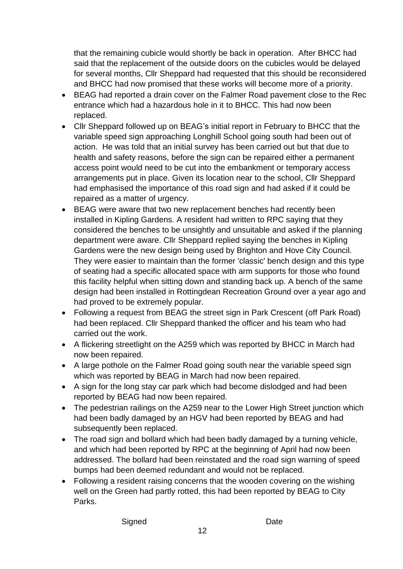that the remaining cubicle would shortly be back in operation. After BHCC had said that the replacement of the outside doors on the cubicles would be delayed for several months, Cllr Sheppard had requested that this should be reconsidered and BHCC had now promised that these works will become more of a priority.

- BEAG had reported a drain cover on the Falmer Road pavement close to the Rec entrance which had a hazardous hole in it to BHCC. This had now been replaced.
- Cllr Sheppard followed up on BEAG's initial report in February to BHCC that the variable speed sign approaching Longhill School going south had been out of action. He was told that an initial survey has been carried out but that due to health and safety reasons, before the sign can be repaired either a permanent access point would need to be cut into the embankment or temporary access arrangements put in place. Given its location near to the school, Cllr Sheppard had emphasised the importance of this road sign and had asked if it could be repaired as a matter of urgency.
- BEAG were aware that two new replacement benches had recently been installed in Kipling Gardens. A resident had written to RPC saying that they considered the benches to be unsightly and unsuitable and asked if the planning department were aware. Cllr Sheppard replied saying the benches in Kipling Gardens were the new design being used by Brighton and Hove City Council. They were easier to maintain than the former 'classic' bench design and this type of seating had a specific allocated space with arm supports for those who found this facility helpful when sitting down and standing back up. A bench of the same design had been installed in Rottingdean Recreation Ground over a year ago and had proved to be extremely popular.
- Following a request from BEAG the street sign in Park Crescent (off Park Road) had been replaced. Cllr Sheppard thanked the officer and his team who had carried out the work.
- A flickering streetlight on the A259 which was reported by BHCC in March had now been repaired.
- A large pothole on the Falmer Road going south near the variable speed sign which was reported by BEAG in March had now been repaired.
- A sign for the long stay car park which had become dislodged and had been reported by BEAG had now been repaired.
- The pedestrian railings on the A259 near to the Lower High Street junction which had been badly damaged by an HGV had been reported by BEAG and had subsequently been replaced.
- The road sign and bollard which had been badly damaged by a turning vehicle, and which had been reported by RPC at the beginning of April had now been addressed. The bollard had been reinstated and the road sign warning of speed bumps had been deemed redundant and would not be replaced.
- Following a resident raising concerns that the wooden covering on the wishing well on the Green had partly rotted, this had been reported by BEAG to City Parks.